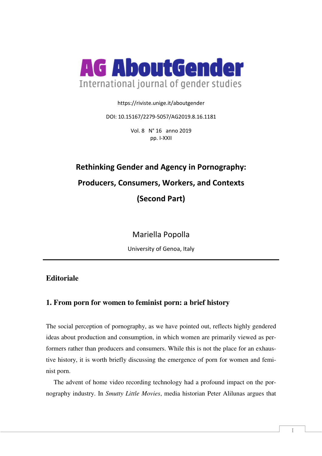

https://riviste.unige.it/aboutgender

DOI: 10.15167/2279-5057/AG2019.8.16.1181

Vol. 8 N° 16 anno 2019 pp. I-XXII

# **Rethinking Gender and Agency in Pornography: Producers, Consumers, Workers, and Contexts (Second Part)**

Mariella Popolla

University of Genoa, Italy

# **Editoriale**

# **1. From porn for women to feminist porn: a brief history**

The social perception of pornography, as we have pointed out, reflects highly gendered ideas about production and consumption, in which women are primarily viewed as performers rather than producers and consumers. While this is not the place for an exhaustive history, it is worth briefly discussing the emergence of porn for women and feminist porn.

The advent of home video recording technology had a profound impact on the pornography industry. In *Smutty Little Movies*, media historian Peter Alilunas argues that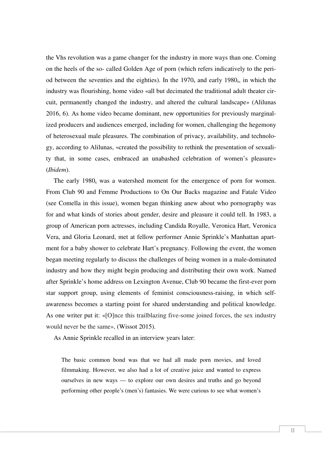the Vhs revolution was a game changer for the industry in more ways than one. Coming on the heels of the so- called Golden Age of porn (which refers indicatively to the period between the seventies and the eighties). In the  $1970<sub>s</sub>$  and early  $1980<sub>s</sub>$ , in which the industry was flourishing, home video «all but decimated the traditional adult theater circuit, permanently changed the industry, and altered the cultural landscape» (Alilunas 2016, 6). As home video became dominant, new opportunities for previously marginalized producers and audiences emerged, including for women, challenging the hegemony of heterosexual male pleasures. The combination of privacy, availability, and technology, according to Alilunas, «created the possibility to rethink the presentation of sexuality that, in some cases, embraced an unabashed celebration of women's pleasure» (*Ibidem*).

The early  $1980_s$  was a watershed moment for the emergence of porn for women. From Club 90 and Femme Productions to On Our Backs magazine and Fatale Video (see Comella in this issue), women began thinking anew about who pornography was for and what kinds of stories about gender, desire and pleasure it could tell. In 1983, a group of American porn actresses, including Candida Royalle, Veronica Hart, Veronica Vera, and Gloria Leonard, met at fellow performer Annie Sprinkle's Manhattan apartment for a baby shower to celebrate Hart's pregnancy. Following the event, the women began meeting regularly to discuss the challenges of being women in a male-dominated industry and how they might begin producing and distributing their own work. Named after Sprinkle's home address on Lexington Avenue, Club 90 became the first-ever porn star support group, using elements of feminist consciousness-raising, in which selfawareness becomes a starting point for shared understanding and political knowledge. As one writer put it: «[O]nce this trailblazing five-some joined forces, the sex industry would never be the same», (Wissot 2015).

As Annie Sprinkle recalled in an interview years later:

The basic common bond was that we had all made porn movies, and loved filmmaking. However, we also had a lot of creative juice and wanted to express ourselves in new ways — to explore our own desires and truths and go beyond performing other people's (men's) fantasies. We were curious to see what women's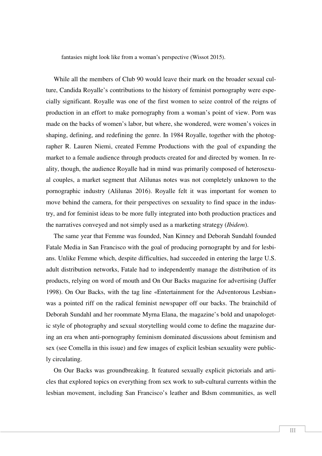fantasies might look like from a woman's perspective (Wissot 2015).

While all the members of Club 90 would leave their mark on the broader sexual culture, Candida Royalle's contributions to the history of feminist pornography were especially significant. Royalle was one of the first women to seize control of the reigns of production in an effort to make pornography from a woman's point of view. Porn was made on the backs of women's labor, but where, she wondered, were women's voices in shaping, defining, and redefining the genre. In 1984 Royalle, together with the photographer R. Lauren Niemi, created Femme Productions with the goal of expanding the market to a female audience through products created for and directed by women. In reality, though, the audience Royalle had in mind was primarily composed of heterosexual couples, a market segment that Alilunas notes was not completely unknown to the pornographic industry (Alilunas 2016). Royalle felt it was important for women to move behind the camera, for their perspectives on sexuality to find space in the industry, and for feminist ideas to be more fully integrated into both production practices and the narratives conveyed and not simply used as a marketing strategy (*Ibidem*).

The same year that Femme was founded, Nan Kinney and Deborah Sundahl founded Fatale Media in San Francisco with the goal of producing pornographt by and for lesbians. Unlike Femme which, despite difficulties, had succeeded in entering the large U.S. adult distribution networks, Fatale had to independently manage the distribution of its products, relying on word of mouth and On Our Backs magazine for advertising (Juffer 1998). On Our Backs, with the tag line «Entertainment for the Adventorous Lesbian» was a pointed riff on the radical feminist newspaper off our backs. The brainchild of Deborah Sundahl and her roommate Myrna Elana, the magazine's bold and unapologetic style of photography and sexual storytelling would come to define the magazine during an era when anti-pornography feminism dominated discussions about feminism and sex (see Comella in this issue) and few images of explicit lesbian sexuality were publicly circulating.

On Our Backs was groundbreaking. It featured sexually explicit pictorials and articles that explored topics on everything from sex work to sub-cultural currents within the lesbian movement, including San Francisco's leather and Bdsm communities, as well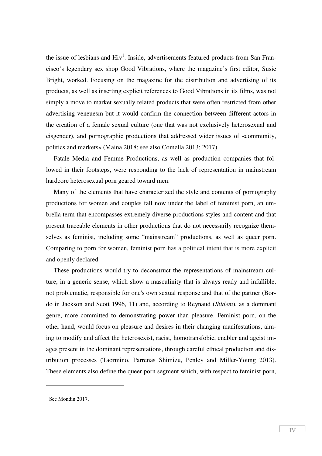the issue of lesbians and  $\text{Hiv}^1$ . Inside, advertisements featured products from San Francisco's legendary sex shop Good Vibrations, where the magazine's first editor, Susie Bright, worked. Focusing on the magazine for the distribution and advertising of its products, as well as inserting explicit references to Good Vibrations in its films, was not simply a move to market sexually related products that were often restricted from other advertising veneuesm but it would confirm the connection between different actors in the creation of a female sexual culture (one that was not exclusively heterosexual and cisgender), and pornographic productions that addressed wider issues of «community, politics and markets» (Maina 2018; see also Comella 2013; 2017).

Fatale Media and Femme Productions, as well as production companies that followed in their footsteps, were responding to the lack of representation in mainstream hardcore heterosexual porn geared toward men.

Many of the elements that have characterized the style and contents of pornography productions for women and couples fall now under the label of feminist porn, an umbrella term that encompasses extremely diverse productions styles and content and that present traceable elements in other productions that do not necessarily recognize themselves as feminist, including some "mainstream" productions, as well as queer porn. Comparing to porn for women, feminist porn has a political intent that is more explicit and openly declared.

These productions would try to deconstruct the representations of mainstream culture, in a generic sense, which show a masculinity that is always ready and infallible, not problematic, responsible for one's own sexual response and that of the partner (Bordo in Jackson and Scott 1996, 11) and, according to Reynaud (*Ibidem*), as a dominant genre, more committed to demonstrating power than pleasure. Feminist porn, on the other hand, would focus on pleasure and desires in their changing manifestations, aiming to modify and affect the heterosexist, racist, homotransfobic, enabler and ageist images present in the dominant representations, through careful ethical production and distribution processes (Taormino, Parrenas Shimizu, Penley and Miller-Young 2013). These elements also define the queer porn segment which, with respect to feminist porn,

 $<sup>1</sup>$  See Mondin 2017.</sup>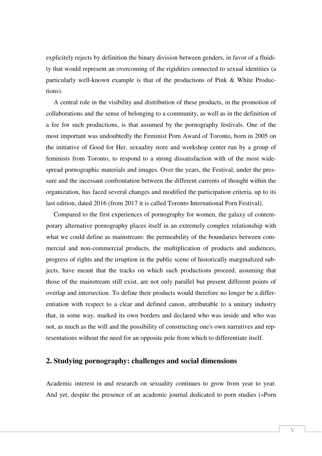explicitely rejects by definition the binary division between genders, in favor of a fluidity that would represent an overcoming of the rigidities connected to sexual identities (a particularly well-known example is that of the productions of Pink & White Productions).

A central role in the visibility and distribution of these products, in the promotion of collaborations and the sense of belonging to a community, as well as in the definition of a fee for such productions, is that assumed by the pornography festivals. One of the most important was undoubtedly the Feminist Porn Award of Toronto, born in 2005 on the initiative of Good for Her, sexuality store and workshop center run by a group of feminists from Toronto, to respond to a strong dissatisfaction with of the most widespread pornographic materials and images. Over the years, the Festival, under the pressure and the incessant confrontation between the different currents of thought within the organization, has faced several changes and modified the participation criteria, up to its last edition, dated 2016 (from 2017 it is called Toronto International Porn Festival).

Compared to the first experiences of pornography for women, the galaxy of contemporary alternative pornography places itself in an extremely complex relationship with what we could define as mainstream: the permeability of the boundaries between commercial and non-commercial products, the multiplication of products and audiences, progress of rights and the irruption in the public scene of historically marginalized subjects, have meant that the tracks on which such productions proceed, assuming that those of the mainstream still exist, are not only parallel but present different points of overlap and intersection. To define their products would therefore no longer be a differentiation with respect to a clear and defined canon, attributable to a unitary industry that, in some way, marked its own borders and declared who was inside and who was not, as much as the will and the possibility of constructing one's own narratives and representations without the need for an opposite pole from which to differentiate itself.

# **2. Studying pornography: challenges and social dimensions**

Academic interest in and research on sexuality continues to grow from year to year. And yet, despite the presence of an academic journal dedicated to porn studies («Porn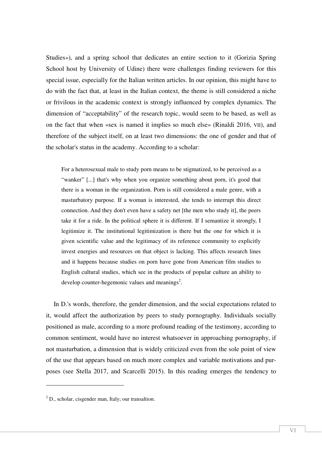Studies»), and a spring school that dedicates an entire section to it (Gorizia Spring School host by University of Udine) there were challenges finding reviewers for this special issue, especially for the Italian written articles. In our opinion, this might have to do with the fact that, at least in the Italian context, the theme is still considered a niche or frivilous in the academic context is strongly influenced by complex dynamics. The dimension of "acceptability" of the research topic, would seem to be based, as well as on the fact that when «sex is named it implies so much else» (Rinaldi 2016, VII), and therefore of the subject itself, on at least two dimensions: the one of gender and that of the scholar's status in the academy. According to a scholar:

For a heterosexual male to study porn means to be stigmatized, to be perceived as a "wanker" [...] that's why when you organize something about porn, it's good that there is a woman in the organization. Porn is still considered a male genre, with a masturbatory purpose. If a woman is interested, she tends to interrupt this direct connection. And they don't even have a safety net [the men who study it], the peers take it for a ride. In the political sphere it is different. If I semantize it strongly, I legitimize it. The institutional legitimization is there but the one for which it is given scientific value and the legitimacy of its reference community to explicitly invest energies and resources on that object is lacking. This affects research lines and it happens because studies on porn have gone from American film studies to English cultural studies, which see in the products of popular culture an ability to develop counter-hegemonic values and meanings<sup>2</sup>.

In D.'s words, therefore, the gender dimension, and the social expectations related to it, would affect the authorization by peers to study pornography. Individuals socially positioned as male, according to a more profound reading of the testimony, according to common sentiment, would have no interest whatsoever in approaching pornography, if not masturbation, a dimension that is widely criticized even from the sole point of view of the use that appears based on much more complex and variable motivations and purposes (see Stella 2017, and Scarcelli 2015). In this reading emerges the tendency to

 $2^2$  D., scholar, cisgender man, Italy; our transaltion.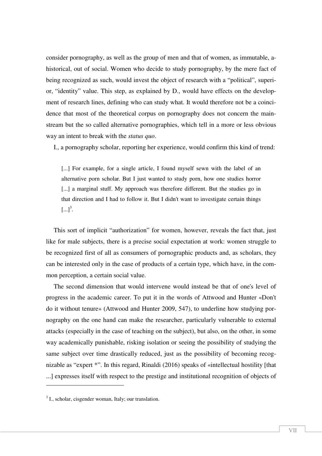consider pornography, as well as the group of men and that of women, as immutable, ahistorical, out of social. Women who decide to study pornography, by the mere fact of being recognized as such, would invest the object of research with a "political", superior, "identity" value. This step, as explained by D., would have effects on the development of research lines, defining who can study what. It would therefore not be a coincidence that most of the theoretical corpus on pornography does not concern the mainstream but the so called alternative pornographies, which tell in a more or less obvious way an intent to break with the *status quo*.

I., a pornography scholar, reporting her experience, would confirm this kind of trend:

[...] For example, for a single article, I found myself sewn with the label of an alternative porn scholar. But I just wanted to study porn, how one studies horror [...] a marginal stuff. My approach was therefore different. But the studies go in that direction and I had to follow it. But I didn't want to investigate certain things  $\left[...\right]^{3}$ .

This sort of implicit "authorization" for women, however, reveals the fact that, just like for male subjects, there is a precise social expectation at work: women struggle to be recognized first of all as consumers of pornographic products and, as scholars, they can be interested only in the case of products of a certain type, which have, in the common perception, a certain social value.

The second dimension that would intervene would instead be that of one's level of progress in the academic career. To put it in the words of Attwood and Hunter «Don't do it without tenure» (Attwood and Hunter 2009, 547), to underline how studying pornography on the one hand can make the researcher, particularly vulnerable to external attacks (especially in the case of teaching on the subject), but also, on the other, in some way academically punishable, risking isolation or seeing the possibility of studying the same subject over time drastically reduced, just as the possibility of becoming recognizable as "expert \*". In this regard, Rinaldi (2016) speaks of «intellectual hostility [that ...] expresses itself with respect to the prestige and institutional recognition of objects of

<sup>&</sup>lt;sup>3</sup> I., scholar, cisgender woman, Italy; our translation.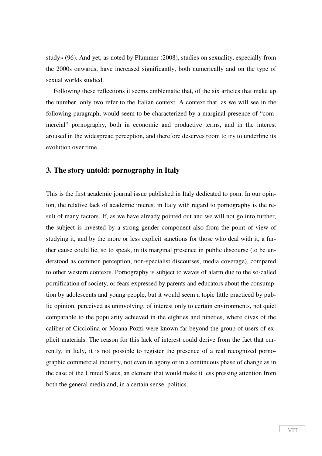study» (96). And yet, as noted by Plummer (2008), studies on sexuality, especially from the 2000s onwards, have increased significantly, both numerically and on the type of sexual worlds studied.

Following these reflections it seems emblematic that, of the six articles that make up the number, only two refer to the Italian context. A context that, as we will see in the following paragraph, would seem to be characterized by a marginal presence of "commercial" pornography, both in economic and productive terms, and in the interest aroused in the widespread perception, and therefore deserves room to try to underline its evolution over time.

## **3. The story untold: pornography in Italy**

This is the first academic journal issue published in Italy dedicated to porn. In our opinion, the relative lack of academic interest in Italy with regard to pornography is the result of many factors. If, as we have already pointed out and we will not go into further, the subject is invested by a strong gender component also from the point of view of studying it, and by the more or less explicit sanctions for those who deal with it, a further cause could lie, so to speak, in its marginal presence in public discourse (to be understood as common perception, non-specialist discourses, media coverage), compared to other western contexts. Pornography is subject to waves of alarm due to the so-called pornification of society, or fears expressed by parents and educators about the consumption by adolescents and young people, but it would seem a topic little practiced by public opinion, perceived as uninvolving, of interest only to certain environments, not quiet comparable to the popularity achieved in the eighties and nineties, where divas of the caliber of Cicciolina or Moana Pozzi were known far beyond the group of users of explicit materials. The reason for this lack of interest could derive from the fact that currently, in Italy, it is not possible to register the presence of a real recognized pornographic commercial industry, not even in agony or in a continuous phase of change as in the case of the United States, an element that would make it less pressing attention from both the general media and, in a certain sense, politics.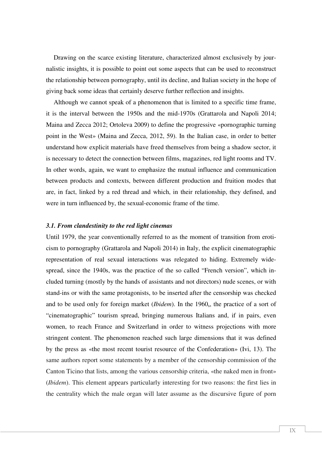Drawing on the scarce existing literature, characterized almost exclusively by journalistic insights, it is possible to point out some aspects that can be used to reconstruct the relationship between pornography, until its decline, and Italian society in the hope of giving back some ideas that certainly deserve further reflection and insights.

Although we cannot speak of a phenomenon that is limited to a specific time frame, it is the interval between the 1950s and the mid-1970s (Grattarola and Napoli 2014; Maina and Zecca 2012; Ortoleva 2009) to define the progressive «pornographic turning point in the West» (Maina and Zecca, 2012, 59). In the Italian case, in order to better understand how explicit materials have freed themselves from being a shadow sector, it is necessary to detect the connection between films, magazines, red light rooms and TV. In other words, again, we want to emphasize the mutual influence and communication between products and contexts, between different production and fruition modes that are, in fact, linked by a red thread and which, in their relationship, they defined, and were in turn influenced by, the sexual-economic frame of the time.

#### *3.1. From clandestinity to the red light cinemas*

Until 1979, the year conventionally referred to as the moment of transition from eroticism to pornography (Grattarola and Napoli 2014) in Italy, the explicit cinematographic representation of real sexual interactions was relegated to hiding. Extremely widespread, since the 1940s, was the practice of the so called "French version", which included turning (mostly by the hands of assistants and not directors) nude scenes, or with stand-ins or with the same protagonists, to be inserted after the censorship was checked and to be used only for foreign market (*Ibidem*). In the 1960<sub>s</sub>, the practice of a sort of "cinematographic" tourism spread, bringing numerous Italians and, if in pairs, even women, to reach France and Switzerland in order to witness projections with more stringent content. The phenomenon reached such large dimensions that it was defined by the press as «the most recent tourist resource of the Confederation» (Ivi, 13). The same authors report some statements by a member of the censorship commission of the Canton Ticino that lists, among the various censorship criteria, «the naked men in front» (*Ibidem*). This element appears particularly interesting for two reasons: the first lies in the centrality which the male organ will later assume as the discursive figure of porn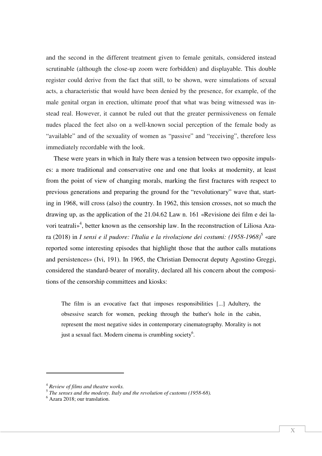and the second in the different treatment given to female genitals, considered instead scrutinable (although the close-up zoom were forbidden) and displayable. This double register could derive from the fact that still, to be shown, were simulations of sexual acts, a characteristic that would have been denied by the presence, for example, of the male genital organ in erection, ultimate proof that what was being witnessed was instead real. However, it cannot be ruled out that the greater permissiveness on female nudes placed the feet also on a well-known social perception of the female body as "available" and of the sexuality of women as "passive" and "receiving", therefore less immediately recordable with the look.

These were years in which in Italy there was a tension between two opposite impulses: a more traditional and conservative one and one that looks at modernity, at least from the point of view of changing morals, marking the first fractures with respect to previous generations and preparing the ground for the "revolutionary" wave that, starting in 1968, will cross (also) the country. In 1962, this tension crosses, not so much the drawing up, as the application of the 21.04.62 Law n. 161 «Revisione dei film e dei lavori teatrali»<sup>4</sup>, better known as the censorship law. In the reconstruction of Liliosa Azara (2018) in *I sensi e il pudore: l'Italia e la rivoluzione dei costumi: (1958-1968)*<sup>5</sup> «are reported some interesting episodes that highlight those that the author calls mutations and persistences» (Ivi, 191). In 1965, the Christian Democrat deputy Agostino Greggi, considered the standard-bearer of morality, declared all his concern about the compositions of the censorship committees and kiosks:

The film is an evocative fact that imposes responsibilities [...] Adultery, the obsessive search for women, peeking through the bather's hole in the cabin, represent the most negative sides in contemporary cinematography. Morality is not just a sexual fact. Modern cinema is crumbling society<sup>6</sup>.

<sup>4</sup> *Review of films and theatre works.*

<sup>5</sup> *The senses and the modesty. Italy and the revolution of customs (1958-68).*

<sup>6</sup> Azara 2018; our translation.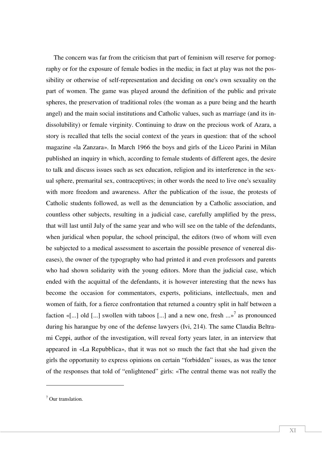The concern was far from the criticism that part of feminism will reserve for pornography or for the exposure of female bodies in the media; in fact at play was not the possibility or otherwise of self-representation and deciding on one's own sexuality on the part of women. The game was played around the definition of the public and private spheres, the preservation of traditional roles (the woman as a pure being and the hearth angel) and the main social institutions and Catholic values, such as marriage (and its indissolubility) or female virginity. Continuing to draw on the precious work of Azara, a story is recalled that tells the social context of the years in question: that of the school magazine «la Zanzara». In March 1966 the boys and girls of the Liceo Parini in Milan published an inquiry in which, according to female students of different ages, the desire to talk and discuss issues such as sex education, religion and its interference in the sexual sphere, premarital sex, contraceptives; in other words the need to live one's sexuality with more freedom and awareness. After the publication of the issue, the protests of Catholic students followed, as well as the denunciation by a Catholic association, and countless other subjects, resulting in a judicial case, carefully amplified by the press, that will last until July of the same year and who will see on the table of the defendants, when juridical when popular, the school principal, the editors (two of whom will even be subjected to a medical assessment to ascertain the possible presence of venereal diseases), the owner of the typography who had printed it and even professors and parents who had shown solidarity with the young editors. More than the judicial case, which ended with the acquittal of the defendants, it is however interesting that the news has become the occasion for commentators, experts, politicians, intellectuals, men and women of faith, for a fierce confrontation that returned a country split in half between a faction «[...] old [...] swollen with taboos [...] and a new one, fresh  $...$ »<sup>7</sup> as pronounced during his harangue by one of the defense lawyers (Ivi, 214). The same Claudia Beltrami Ceppi, author of the investigation, will reveal forty years later, in an interview that appeared in «La Repubblica», that it was not so much the fact that she had given the girls the opportunity to express opinions on certain "forbidden" issues, as was the tenor of the responses that told of "enlightened" girls: «The central theme was not really the

<sup>7</sup> Our translation.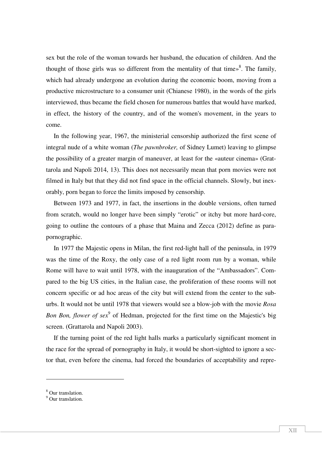sex but the role of the woman towards her husband, the education of children. And the thought of those girls was so different from the mentality of that time $\frac{1}{8}$ . The family, which had already undergone an evolution during the economic boom, moving from a productive microstructure to a consumer unit (Chianese 1980), in the words of the girls interviewed, thus became the field chosen for numerous battles that would have marked, in effect, the history of the country, and of the women's movement, in the years to come.

In the following year, 1967, the ministerial censorship authorized the first scene of integral nude of a white woman (*The pawnbroker,* of Sidney Lumet) leaving to glimpse the possibility of a greater margin of maneuver, at least for the «auteur cinema» (Grattarola and Napoli 2014, 13). This does not necessarily mean that porn movies were not filmed in Italy but that they did not find space in the official channels. Slowly, but inexorably, porn began to force the limits imposed by censorship.

Between 1973 and 1977, in fact, the insertions in the double versions, often turned from scratch, would no longer have been simply "erotic" or itchy but more hard-core, going to outline the contours of a phase that Maina and Zecca (2012) define as parapornographic.

In 1977 the Majestic opens in Milan, the first red-light hall of the peninsula, in 1979 was the time of the Roxy, the only case of a red light room run by a woman, while Rome will have to wait until 1978, with the inauguration of the "Ambassadors". Compared to the big US cities, in the Italian case, the proliferation of these rooms will not concern specific or ad hoc areas of the city but will extend from the center to the suburbs. It would not be until 1978 that viewers would see a blow-job with the movie *Rosa*  Bon Bon, flower of sex<sup>9</sup> of Hedman, projected for the first time on the Majestic's big screen. (Grattarola and Napoli 2003).

If the turning point of the red light halls marks a particularly significant moment in the race for the spread of pornography in Italy, it would be short-sighted to ignore a sector that, even before the cinema, had forced the boundaries of acceptability and repre-

<sup>8</sup> Our translation.

<sup>&</sup>lt;sup>9</sup> Our translation.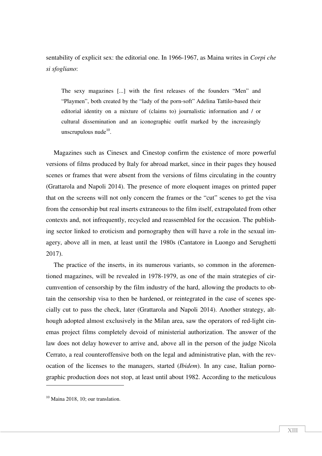sentability of explicit sex: the editorial one. In 1966-1967, as Maina writes in *Corpi che si sfogliano*:

The sexy magazines [...] with the first releases of the founders "Men" and "Playmen", both created by the "lady of the porn-soft" Adelina Tattilo-based their editorial identity on a mixture of (claims to) journalistic information and / or cultural dissemination and an iconographic outfit marked by the increasingly unscrupulous nude $10$ .

Magazines such as Cinesex and Cinestop confirm the existence of more powerful versions of films produced by Italy for abroad market, since in their pages they housed scenes or frames that were absent from the versions of films circulating in the country (Grattarola and Napoli 2014). The presence of more eloquent images on printed paper that on the screens will not only concern the frames or the "cut" scenes to get the visa from the censorship but real inserts extraneous to the film itself, extrapolated from other contexts and, not infrequently, recycled and reassembled for the occasion. The publishing sector linked to eroticism and pornography then will have a role in the sexual imagery, above all in men, at least until the 1980s (Cantatore in Luongo and Serughetti 2017).

The practice of the inserts, in its numerous variants, so common in the aforementioned magazines, will be revealed in 1978-1979, as one of the main strategies of circumvention of censorship by the film industry of the hard, allowing the products to obtain the censorship visa to then be hardened, or reintegrated in the case of scenes specially cut to pass the check, later (Grattarola and Napoli 2014). Another strategy, although adopted almost exclusively in the Milan area, saw the operators of red-light cinemas project films completely devoid of ministerial authorization. The answer of the law does not delay however to arrive and, above all in the person of the judge Nicola Cerrato, a real counteroffensive both on the legal and administrative plan, with the revocation of the licenses to the managers, started (*Ibidem*). In any case, Italian pornographic production does not stop, at least until about 1982. According to the meticulous

 $10$  Maina 2018, 10; our translation.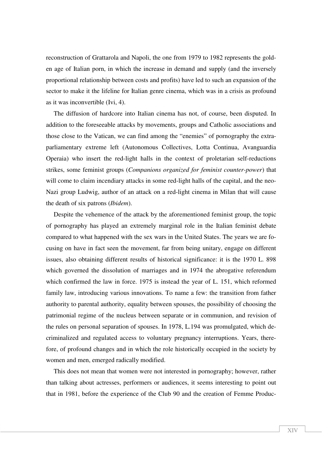reconstruction of Grattarola and Napoli, the one from 1979 to 1982 represents the golden age of Italian porn, in which the increase in demand and supply (and the inversely proportional relationship between costs and profits) have led to such an expansion of the sector to make it the lifeline for Italian genre cinema, which was in a crisis as profound as it was inconvertible (Ivi, 4).

The diffusion of hardcore into Italian cinema has not, of course, been disputed. In addition to the foreseeable attacks by movements, groups and Catholic associations and those close to the Vatican, we can find among the "enemies" of pornography the extraparliamentary extreme left (Autonomous Collectives, Lotta Continua, Avanguardia Operaia) who insert the red-light halls in the context of proletarian self-reductions strikes, some feminist groups (*Companions organized for feminist counter-power*) that will come to claim incendiary attacks in some red-light halls of the capital, and the neo-Nazi group Ludwig, author of an attack on a red-light cinema in Milan that will cause the death of six patrons (*Ibidem*).

Despite the vehemence of the attack by the aforementioned feminist group, the topic of pornography has played an extremely marginal role in the Italian feminist debate compared to what happened with the sex wars in the United States. The years we are focusing on have in fact seen the movement, far from being unitary, engage on different issues, also obtaining different results of historical significance: it is the 1970 L. 898 which governed the dissolution of marriages and in 1974 the abrogative referendum which confirmed the law in force. 1975 is instead the year of L. 151, which reformed family law, introducing various innovations. To name a few: the transition from father authority to parental authority, equality between spouses, the possibility of choosing the patrimonial regime of the nucleus between separate or in communion, and revision of the rules on personal separation of spouses. In 1978, L.194 was promulgated, which decriminalized and regulated access to voluntary pregnancy interruptions. Years, therefore, of profound changes and in which the role historically occupied in the society by women and men, emerged radically modified.

This does not mean that women were not interested in pornography; however, rather than talking about actresses, performers or audiences, it seems interesting to point out that in 1981, before the experience of the Club 90 and the creation of Femme Produc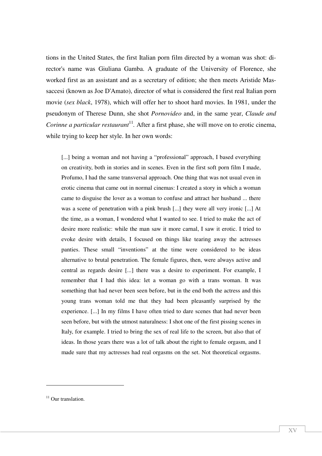tions in the United States, the first Italian porn film directed by a woman was shot: director's name was Giuliana Gamba. A graduate of the University of Florence, she worked first as an assistant and as a secretary of edition; she then meets Aristide Massaccesi (known as Joe D'Amato), director of what is considered the first real Italian porn movie (*sex black*, 1978), which will offer her to shoot hard movies. In 1981, under the pseudonym of Therese Dunn, she shot *Pornovideo* and, in the same year, *Claude and Corinne a particular restaurant*<sup>11</sup>. After a first phase, she will move on to erotic cinema, while trying to keep her style. In her own words:

[...] being a woman and not having a "professional" approach, I based everything on creativity, both in stories and in scenes. Even in the first soft porn film I made, Profumo, I had the same transversal approach. One thing that was not usual even in erotic cinema that came out in normal cinemas: I created a story in which a woman came to disguise the lover as a woman to confuse and attract her husband ... there was a scene of penetration with a pink brush [...] they were all very ironic [...] At the time, as a woman, I wondered what I wanted to see. I tried to make the act of desire more realistic: while the man saw it more carnal, I saw it erotic. I tried to evoke desire with details, I focused on things like tearing away the actresses panties. These small "inventions" at the time were considered to be ideas alternative to brutal penetration. The female figures, then, were always active and central as regards desire [...] there was a desire to experiment. For example, I remember that I had this idea: let a woman go with a trans woman. It was something that had never been seen before, but in the end both the actress and this young trans woman told me that they had been pleasantly surprised by the experience. [...] In my films I have often tried to dare scenes that had never been seen before, but with the utmost naturalness: I shot one of the first pissing scenes in Italy, for example. I tried to bring the sex of real life to the screen, but also that of ideas. In those years there was a lot of talk about the right to female orgasm, and I made sure that my actresses had real orgasms on the set. Not theoretical orgasms.

 $11$  Our translation.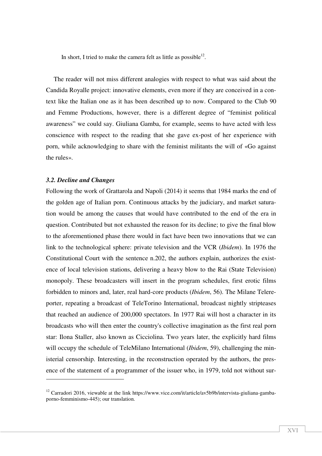In short, I tried to make the camera felt as little as possible<sup>12</sup>.

The reader will not miss different analogies with respect to what was said about the Candida Royalle project: innovative elements, even more if they are conceived in a context like the Italian one as it has been described up to now. Compared to the Club 90 and Femme Productions, however, there is a different degree of "feminist political awareness" we could say. Giuliana Gamba, for example, seems to have acted with less conscience with respect to the reading that she gave ex-post of her experience with porn, while acknowledging to share with the feminist militants the will of «Go against the rules».

#### *3.2. Decline and Changes*

 $\overline{\phantom{a}}$ 

Following the work of Grattarola and Napoli (2014) it seems that 1984 marks the end of the golden age of Italian porn. Continuous attacks by the judiciary, and market saturation would be among the causes that would have contributed to the end of the era in question. Contributed but not exhausted the reason for its decline; to give the final blow to the aforementioned phase there would in fact have been two innovations that we can link to the technological sphere: private television and the VCR (*Ibidem*). In 1976 the Constitutional Court with the sentence n.202, the authors explain, authorizes the existence of local television stations, delivering a heavy blow to the Rai (State Television) monopoly. These broadcasters will insert in the program schedules, first erotic films forbidden to minors and, later, real hard-core products (*Ibidem*, 56). The Milane Telereporter, repeating a broadcast of TeleTorino International, broadcast nightly stripteases that reached an audience of 200,000 spectators. In 1977 Rai will host a character in its broadcasts who will then enter the country's collective imagination as the first real porn star: Ilona Staller, also known as Cicciolina. Two years later, the explicitly hard films will occupy the schedule of TeleMilano International (*Ibidem*, 59), challenging the ministerial censorship. Interesting, in the reconstruction operated by the authors, the presence of the statement of a programmer of the issuer who, in 1979, told not without sur-

 $12$  Carradori 2016, viewable at the link https://www.vice.com/it/article/av5b9b/intervista-giuliana-gambaporno-femminismo-445); our translation.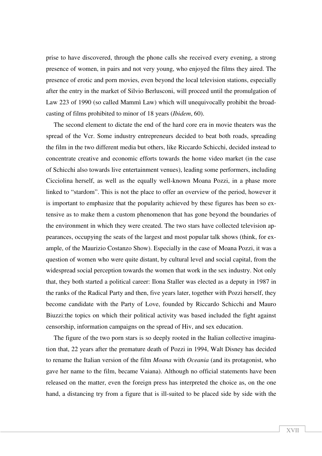prise to have discovered, through the phone calls she received every evening, a strong presence of women, in pairs and not very young, who enjoyed the films they aired. The presence of erotic and porn movies, even beyond the local television stations, especially after the entry in the market of Silvio Berlusconi, will proceed until the promulgation of Law 223 of 1990 (so called Mammì Law) which will unequivocally prohibit the broadcasting of films prohibited to minor of 18 years (*Ibidem*, 60).

The second element to dictate the end of the hard core era in movie theaters was the spread of the Vcr. Some industry entrepreneurs decided to beat both roads, spreading the film in the two different media but others, like Riccardo Schicchi, decided instead to concentrate creative and economic efforts towards the home video market (in the case of Schicchi also towards live entertainment venues), leading some performers, including Cicciolina herself, as well as the equally well-known Moana Pozzi, in a phase more linked to "stardom". This is not the place to offer an overview of the period, however it is important to emphasize that the popularity achieved by these figures has been so extensive as to make them a custom phenomenon that has gone beyond the boundaries of the environment in which they were created. The two stars have collected television appearances, occupying the seats of the largest and most popular talk shows (think, for example, of the Maurizio Costanzo Show). Especially in the case of Moana Pozzi, it was a question of women who were quite distant, by cultural level and social capital, from the widespread social perception towards the women that work in the sex industry. Not only that, they both started a political career: Ilona Staller was elected as a deputy in 1987 in the ranks of the Radical Party and then, five years later, together with Pozzi herself, they become candidate with the Party of Love, founded by Riccardo Schicchi and Mauro Biuzzi:the topics on which their political activity was based included the fight against censorship, information campaigns on the spread of Hiv, and sex education.

The figure of the two porn stars is so deeply rooted in the Italian collective imagination that, 22 years after the premature death of Pozzi in 1994, Walt Disney has decided to rename the Italian version of the film *Moana* with *Oceania* (and its protagonist, who gave her name to the film, became Vaiana). Although no official statements have been released on the matter, even the foreign press has interpreted the choice as, on the one hand, a distancing try from a figure that is ill-suited to be placed side by side with the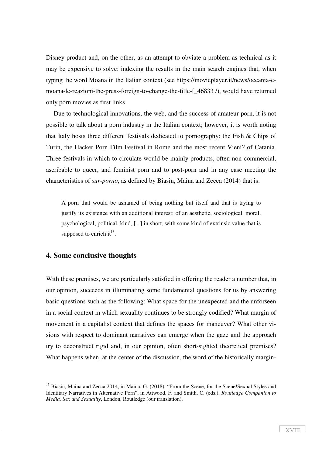Disney product and, on the other, as an attempt to obviate a problem as technical as it may be expensive to solve: indexing the results in the main search engines that, when typing the word Moana in the Italian context (see https://movieplayer.it/news/oceania-emoana-le-reazioni-the-press-foreign-to-change-the-title-f\_46833 /), would have returned only porn movies as first links.

Due to technological innovations, the web, and the success of amateur porn, it is not possible to talk about a porn industry in the Italian context; however, it is worth noting that Italy hosts three different festivals dedicated to pornography: the Fish  $&$  Chips of Turin, the Hacker Porn Film Festival in Rome and the most recent Vieni? of Catania. Three festivals in which to circulate would be mainly products, often non-commercial, ascribable to queer, and feminist porn and to post-porn and in any case meeting the characteristics of *sur-porno*, as defined by Biasin, Maina and Zecca (2014) that is:

A porn that would be ashamed of being nothing but itself and that is trying to justify its existence with an additional interest: of an aesthetic, sociological, moral, psychological, political, kind, [...] in short, with some kind of extrinsic value that is supposed to enrich it $^{13}$ .

### **4. Some conclusive thoughts**

l

With these premises, we are particularly satisfied in offering the reader a number that, in our opinion, succeeds in illuminating some fundamental questions for us by answering basic questions such as the following: What space for the unexpected and the unforseen in a social context in which sexuality continues to be strongly codified? What margin of movement in a capitalist context that defines the spaces for maneuver? What other visions with respect to dominant narratives can emerge when the gaze and the approach try to deconstruct rigid and, in our opinion, often short-sighted theoretical premises? What happens when, at the center of the discussion, the word of the historically margin-

<sup>&</sup>lt;sup>13</sup> Biasin, Maina and Zecca 2014, in Maina, G. (2018), "From the Scene, for the Scene!Sexual Styles and Identitary Narratives in Alternative Porn", in Attwood, F. and Smith, C. (eds.), *Routledge Companion to Media, Sex and Sexuality*, London, Routledge (our translation).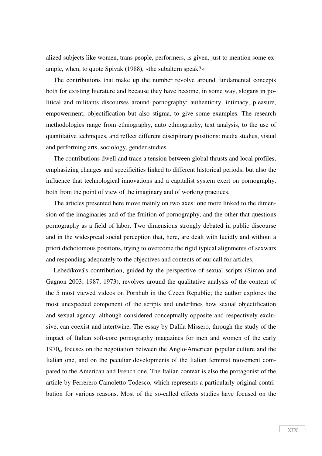alized subjects like women, trans people, performers, is given, just to mention some example, when, to quote Spivak (1988), «the subaltern speak?»

The contributions that make up the number revolve around fundamental concepts both for existing literature and because they have become, in some way, slogans in political and militants discourses around pornography: authenticity, intimacy, pleasure, empowerment, objectification but also stigma, to give some examples. The research methodologies range from ethnography, auto ethnography, text analysis, to the use of quantitative techniques, and reflect different disciplinary positions: media studies, visual and performing arts, sociology, gender studies.

The contributions dwell and trace a tension between global thrusts and local profiles, emphasizing changes and specificities linked to different historical periods, but also the influence that technological innovations and a capitalist system exert on pornography, both from the point of view of the imaginary and of working practices.

The articles presented here move mainly on two axes: one more linked to the dimension of the imaginaries and of the fruition of pornography, and the other that questions pornography as a field of labor. Two dimensions strongly debated in public discourse and in the widespread social perception that, here, are dealt with lucidly and without a priori dichotomous positions, trying to overcome the rigid typical alignments of sexwars and responding adequately to the objectives and contents of our call for articles.

Lebedíková's contribution, guided by the perspective of sexual scripts (Simon and Gagnon 2003; 1987; 1973), revolves around the qualitative analysis of the content of the 5 most viewed videos on Pornhub in the Czech Republic; the author explores the most unexpected component of the scripts and underlines how sexual objectification and sexual agency, although considered conceptually opposite and respectively exclusive, can coexist and intertwine. The essay by Dalila Missero, through the study of the impact of Italian soft-core pornography magazines for men and women of the early 1970s, focuses on the negotiation between the Anglo-American popular culture and the Italian one, and on the peculiar developments of the Italian feminist movement compared to the American and French one. The Italian context is also the protagonist of the article by Ferrerero Camoletto-Todesco, which represents a particularly original contribution for various reasons. Most of the so-called effects studies have focused on the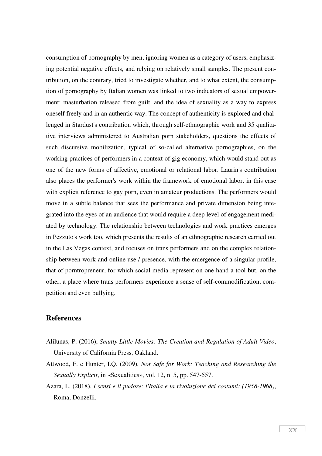consumption of pornography by men, ignoring women as a category of users, emphasizing potential negative effects, and relying on relatively small samples. The present contribution, on the contrary, tried to investigate whether, and to what extent, the consumption of pornography by Italian women was linked to two indicators of sexual empowerment: masturbation released from guilt, and the idea of sexuality as a way to express oneself freely and in an authentic way. The concept of authenticity is explored and challenged in Stardust's contribution which, through self-ethnographic work and 35 qualitative interviews administered to Australian porn stakeholders, questions the effects of such discursive mobilization, typical of so-called alternative pornographies, on the working practices of performers in a context of gig economy, which would stand out as one of the new forms of affective, emotional or relational labor. Laurin's contribution also places the performer's work within the framework of emotional labor, in this case with explicit reference to gay porn, even in amateur productions. The performers would move in a subtle balance that sees the performance and private dimension being integrated into the eyes of an audience that would require a deep level of engagement mediated by technology. The relationship between technologies and work practices emerges in Pezzuto's work too, which presents the results of an ethnographic research carried out in the Las Vegas context, and focuses on trans performers and on the complex relationship between work and online use / presence, with the emergence of a singular profile, that of porntropreneur, for which social media represent on one hand a tool but, on the other, a place where trans performers experience a sense of self-commodification, competition and even bullying.

# **References**

- Alilunas, P. (2016), *Smutty Little Movies: The Creation and Regulation of Adult Video*, University of California Press, Oakland.
- Attwood, F. e Hunter, I.Q. (2009), *Not Safe for Work: Teaching and Researching the Sexually Explicit*, in «Sexualities», vol. 12, n. 5, pp. 547-557.
- Azara, L. (2018), *I sensi e il pudore: l'Italia e la rivoluzione dei costumi: (1958-1968)*, Roma, Donzelli.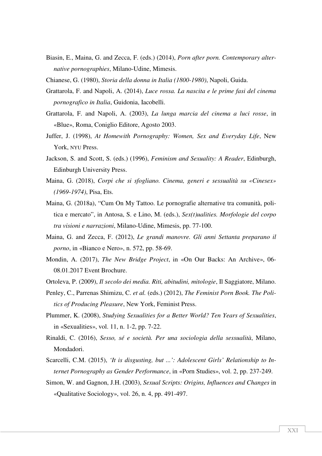- Biasin, E., Maina, G. and Zecca, F. (eds.) (2014), *Porn after porn. Contemporary alternative pornographies*, Milano-Udine, Mimesis.
- Chianese, G. (1980), *Storia della donna in Italia (1800-1980)*, Napoli, Guida.
- Grattarola, F. and Napoli, A. (2014), *Luce rossa. La nascita e le prime fasi del cinema pornografico in Italia*, Guidonia, Iacobelli.
- Grattarola, F. and Napoli, A. (2003), *La lunga marcia del cinema a luci rosse*, in «Blue», Roma, Coniglio Editore, Agosto 2003.
- Juffer, J. (1998), *At Homewith Pornography: Women, Sex and Everyday Life*, New York, NYU Press.
- Jackson, S. and Scott, S. (eds.) (1996), *Feminism and Sexuality: A Reader*, Edinburgh, Edinburgh University Press.
- Maina, G. (2018), *Corpi che si sfogliano. Cinema, generi e sessualità su «Cinesex» (1969-1974)*, Pisa, Ets.
- Maina, G. (2018a), "Cum On My Tattoo. Le pornografie alternative tra comunità, politica e mercato", in Antosa, S. e Lino, M. (eds.), *Sex(t)ualities. Morfologie del corpo tra visioni e narrazioni*, Milano-Udine, Mimesis, pp. 77-100.
- Maina, G. and Zecca, F. (2012), *Le grandi manovre. Gli anni Settanta preparano il porno*, in «Bianco e Nero», n. 572, pp. 58-69.
- Mondin, A. (2017), *The New Bridge Project*, in «On Our Backs: An Archive», 06- 08.01.2017 Event Brochure.
- Ortoleva, P. (2009), *Il secolo dei media. Riti, abitudini, mitologie*, Il Saggiatore, Milano.
- Penley, C., Parrenas Shimizu, C. *et al.* (eds.) (2012), *The Feminist Porn Book. The Politics of Producing Pleasure*, New York, Feminist Press.
- Plummer, K. (2008), *Studying Sexualities for a Better World? Ten Years of Sexualities*, in «Sexualities», vol. 11, n. 1-2, pp. 7-22.
- Rinaldi, C. (2016), *Sesso, sé e società. Per una sociologia della sessualità*, Milano, Mondadori.
- Scarcelli, C.M. (2015), *'It is disgusting, but ...': Adolescent Girls' Relationship to Internet Pornography as Gender Performance*, in «Porn Studies», vol. 2, pp. 237-249.
- Simon, W. and Gagnon, J.H. (2003), *Sexual Scripts: Origins, Influences and Changes* in «Qualitative Sociology», vol. 26, n. 4, pp. 491-497.